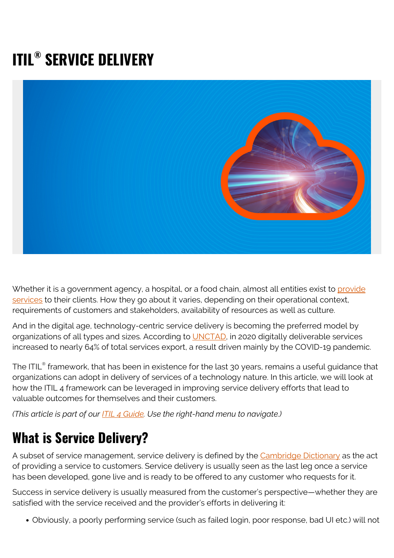# **ITIL® SERVICE DELIVERY**



Whether it is a government agency, a hospital, or a food chain, almost all entities exist to [provide](https://blogs.bmc.com/blogs/it-service/) [services](https://blogs.bmc.com/blogs/it-service/) to their clients. How they go about it varies, depending on their operational context, requirements of customers and stakeholders, availability of resources as well as culture.

And in the digital age, technology-centric service delivery is becoming the preferred model by organizations of all types and sizes. According to [UNCTAD,](https://unctad.org/webflyer/impacts-covid-19-pandemic-trade-digital-economy) in 2020 digitally deliverable services increased to nearly 64% of total services export, a result driven mainly by the COVID-19 pandemic.

The ITIL $^\circ$  framework, that has been in existence for the last 30 years, remains a useful guidance that organizations can adopt in delivery of services of a technology nature. In this article, we will look at how the ITIL 4 framework can be leveraged in improving service delivery efforts that lead to valuable outcomes for themselves and their customers.

*(This article is part of our [ITIL 4 Guide](https://blogs.bmc.com/blogs/itil-4/). Use the right-hand menu to navigate.)*

### **What is Service Delivery?**

A subset of service management, service delivery is defined by the [Cambridge Dictionary](https://dictionary.cambridge.org/dictionary/english/service-delivery) as the act of providing a service to customers. Service delivery is usually seen as the last leg once a service has been developed, gone live and is ready to be offered to any customer who requests for it.

Success in service delivery is usually measured from the customer's perspective—whether they are satisfied with the service received and the provider's efforts in delivering it:

Obviously, a poorly performing service (such as failed login, poor response, bad UI etc.) will not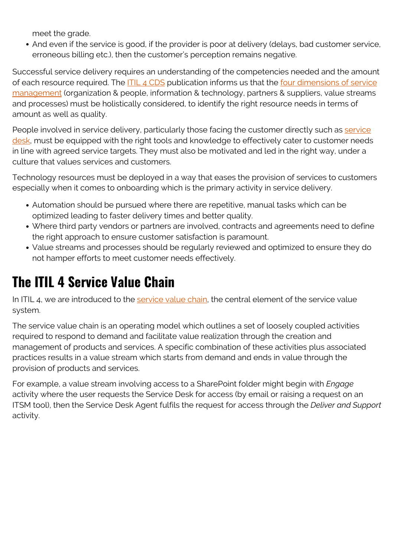meet the grade.

And even if the service is good, if the provider is poor at delivery (delays, bad customer service, erroneous billing etc.), then the customer's perception remains negative.

Successful service delivery requires an understanding of the competencies needed and the amount of each resource required. The **ITIL 4 CDS** publication informs us that the [four dimensions of service](https://blogs.bmc.com/blogs/itil-four-dimensions-service-management/) [management](https://blogs.bmc.com/blogs/itil-four-dimensions-service-management/) (organization & people, information & technology, partners & suppliers, value streams and processes) must be holistically considered, to identify the right resource needs in terms of amount as well as quality.

People involved in [service](https://blogs.bmc.com/blogs/help-desk-vs-service-desk-whats-difference/) delivery, particularly those facing the customer directly such as service [desk](https://blogs.bmc.com/blogs/help-desk-vs-service-desk-whats-difference/), must be equipped with the right tools and knowledge to effectively cater to customer needs in line with agreed service targets. They must also be motivated and led in the right way, under a culture that values services and customers.

Technology resources must be deployed in a way that eases the provision of services to customers especially when it comes to onboarding which is the primary activity in service delivery.

- Automation should be pursued where there are repetitive, manual tasks which can be optimized leading to faster delivery times and better quality.
- Where third party vendors or partners are involved, contracts and agreements need to define the right approach to ensure customer satisfaction is paramount.
- Value streams and processes should be regularly reviewed and optimized to ensure they do not hamper efforts to meet customer needs effectively.

### **The ITIL 4 Service Value Chain**

In ITIL 4, we are introduced to the [service value chain](https://www.axelos.com/resource-hub/blog/itil-4-connecting-key-concepts-part-4), the central element of the service value system.

The service value chain is an operating model which outlines a set of loosely coupled activities required to respond to demand and facilitate value realization through the creation and management of products and services. A specific combination of these activities plus associated practices results in a value stream which starts from demand and ends in value through the provision of products and services.

For example, a value stream involving access to a SharePoint folder might begin with *Engage* activity where the user requests the Service Desk for access (by email or raising a request on an ITSM tool), then the Service Desk Agent fulfils the request for access through the *Deliver and Support* activity.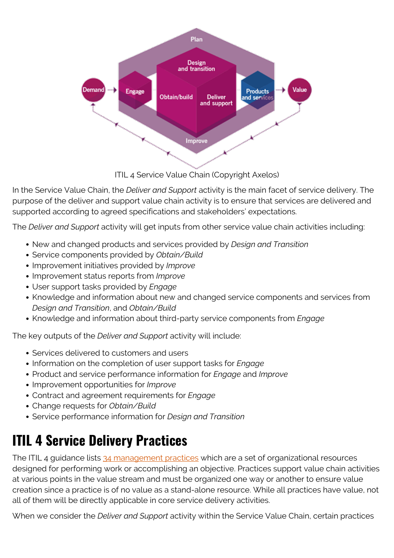

ITIL 4 Service Value Chain (Copyright Axelos)

In the Service Value Chain, the *Deliver and Support* activity is the main facet of service delivery. The purpose of the deliver and support value chain activity is to ensure that services are delivered and supported according to agreed specifications and stakeholders' expectations.

The *Deliver and Support* activity will get inputs from other service value chain activities including:

- New and changed products and services provided by *Design and Transition*
- Service components provided by *Obtain/Build*
- Improvement initiatives provided by *Improve*
- Improvement status reports from *Improve*
- User support tasks provided by *Engage*
- Knowledge and information about new and changed service components and services from *Design and Transition*, and *Obtain/Build*
- Knowledge and information about third-party service components from *Engage*

The key outputs of the *Deliver and Support* activity will include:

- Services delivered to customers and users
- Information on the completion of user support tasks for *Engage*
- Product and service performance information for *Engage* and *Improve*
- Improvement opportunities for *Improve*
- Contract and agreement requirements for *Engage*
- Change requests for *Obtain/Build*
- Service performance information for *Design and Transition*

## **ITIL 4 Service Delivery Practices**

The ITIL 4 guidance lists [34 management practices](https://blogs.bmc.com/blogs/itil-management-practices/) which are a set of organizational resources designed for performing work or accomplishing an objective. Practices support value chain activities at various points in the value stream and must be organized one way or another to ensure value creation since a practice is of no value as a stand-alone resource. While all practices have value, not all of them will be directly applicable in core service delivery activities.

When we consider the *Deliver and Support* activity within the Service Value Chain, certain practices